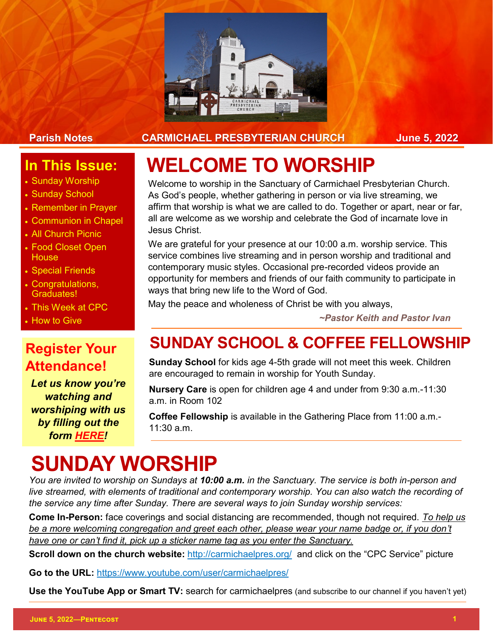

#### Parish Notes **CARMICHAEL PRESBYTERIAN CHURCH** June 5, 2022

#### **In This Issue:**

- Sunday Worship
- Sunday School
- Remember in Prayer
- Communion in Chapel
- All Church Picnic
- Food Closet Open **House**
- Special Friends
- Congratulations, Graduates!
- This Week at CPC
- How to Give

# **Attendance!**

*Let us know you're watching and worshiping with us by filling out the form [HERE!](https://forms.gle/g1g8pshdZ7xgFPQ1A)*

## **WELCOME TO WORSHIP**

Welcome to worship in the Sanctuary of Carmichael Presbyterian Church. As God's people, whether gathering in person or via live streaming, we affirm that worship is what we are called to do. Together or apart, near or far, all are welcome as we worship and celebrate the God of incarnate love in Jesus Christ.

We are grateful for your presence at our 10:00 a.m. worship service. This service combines live streaming and in person worship and traditional and contemporary music styles. Occasional pre-recorded videos provide an opportunity for members and friends of our faith community to participate in ways that bring new life to the Word of God.

May the peace and wholeness of Christ be with you always,

*~Pastor Keith and Pastor Ivan*

### **Register Your SUNDAY SCHOOL & COFFEE FELLOWSHIP**

**Sunday School** for kids age 4-5th grade will not meet this week. Children are encouraged to remain in worship for Youth Sunday.

**Nursery Care** is open for children age 4 and under from 9:30 a.m.-11:30 a.m. in Room 102

**Coffee Fellowship** is available in the Gathering Place from 11:00 a.m.- 11:30 a.m.

## **SUNDAY WORSHIP**

*You are invited to worship on Sundays at 10:00 a.m. in the Sanctuary. The service is both in-person and live streamed, with elements of traditional and contemporary worship. You can also watch the recording of the service any time after Sunday. There are several ways to join Sunday worship services:*

**Come In-Person:** face coverings and social distancing are recommended, though not required. *To help us be a more welcoming congregation and greet each other, please wear your name badge or, if you don't have one or can't find it, pick up a sticker name tag as you enter the Sanctuary.* 

**Scroll down on the church website:** <http://carmichaelpres.org/> and click on the "CPC Service" picture

**Go to the URL:** <https://www.youtube.com/user/carmichaelpres/>

**Use the YouTube App or Smart TV:** search for carmichaelpres (and subscribe to our channel if you haven't yet)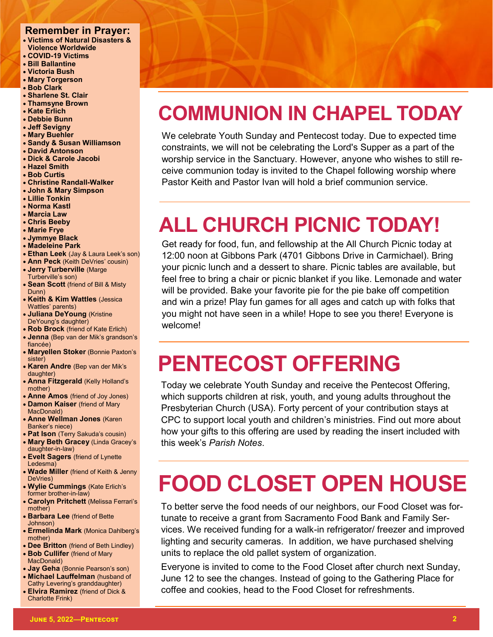#### **Remember in Prayer:**

- **Victims of Natural Disasters & Violence Worldwide**
- **COVID-19 Victims**
- **Bill Ballantine**
- **Victoria Bush**
- **Mary Torgerson** • **Bob Clark**
- 
- **Sharlene St. Clair** • **Thamsyne Brown**
- **Kate Erlich**
- **Debbie Bunn**
- **Jeff Sevigny**
- **Mary Buehler**
- **Sandy & Susan Williamson**
- **David Antonson**
- **Dick & Carole Jacobi**
- **Hazel Smith**
- **Bob Curtis**
- **Christine Randall-Walker**
- **John & Mary Simpson**
- **Lillie Tonkin**
- **Norma Kastl**
- **Marcia Law**
- **Chris Beeby**
- **Marie Frye**
- **Jymmye Black**
- **Madeleine Park**
- **Ethan Leek** (Jay & Laura Leek's son)
- **Ann Peck** (Keith DeVries' cousin) • **Jerry Turberville** (Marge
- Turberville's son) • **Sean Scott** (friend of Bill & Misty
- Dunn)
- **Keith & Kim Wattles** (Jessica Wattles' parents)
- **Juliana DeYoung** (Kristine DeYoung's daughter)
- **Rob Brock** (friend of Kate Erlich) • **Jenna** (Bep van der Mik's grandson's fiancée)
- **Maryellen Stoker** (Bonnie Paxton's sister)
- **Karen Andre** (Bep van der Mik's daughter)
- **Anna Fitzgerald** (Kelly Holland's mother)
- **Anne Amos** (friend of Joy Jones) • **Damon Kaiser** (friend of Mary
- MacDonald) • **Anne Wellman Jones** (Karen Banker's niece)
- **Pat Ison** (Terry Sakuda's cousin) • **Mary Beth Gracey** (Linda Gracey's
- daughter-in-law)
- **Evelt Sagers** (friend of Lynette Ledesma)
- **Wade Miller** (friend of Keith & Jenny DeVries)
- **Wylie Cummings** (Kate Erlich's former brother-in-law)
- **Carolyn Pritchett** (Melissa Ferrari's mother)
- **Barbara Lee** (friend of Bette Johnson)
- **Ermelinda Mark** (Monica Dahlberg's mother)
- **Dee Britton** (friend of Beth Lindley)
- **Bob Cullifer** (friend of Mary MacDonald)
- **Jay Geha** (Bonnie Pearson's son)
- **Michael Lauffelman** (husband of Cathy Levering's granddaughter)
- **Elvira Ramirez** (friend of Dick & Charlotte Frink)

## **COMMUNION IN CHAPEL TODAY**

We celebrate Youth Sunday and Pentecost today. Due to expected time constraints, we will not be celebrating the Lord's Supper as a part of the worship service in the Sanctuary. However, anyone who wishes to still receive communion today is invited to the Chapel following worship where Pastor Keith and Pastor Ivan will hold a brief communion service.

## **ALL CHURCH PICNIC TODAY!**

Get ready for food, fun, and fellowship at the All Church Picnic today at 12:00 noon at Gibbons Park (4701 Gibbons Drive in Carmichael). Bring your picnic lunch and a dessert to share. Picnic tables are available, but feel free to bring a chair or picnic blanket if you like. Lemonade and water will be provided. Bake your favorite pie for the pie bake off competition and win a prize! Play fun games for all ages and catch up with folks that you might not have seen in a while! Hope to see you there! Everyone is welcome!

## **PENTECOST OFFERING**

Today we celebrate Youth Sunday and receive the Pentecost Offering, which supports children at risk, youth, and young adults throughout the Presbyterian Church (USA). Forty percent of your contribution stays at CPC to support local youth and children's ministries. Find out more about how your gifts to this offering are used by reading the insert included with this week's *Parish Notes*.

## **FOOD CLOSET OPEN HOUSE**

To better serve the food needs of our neighbors, our Food Closet was fortunate to receive a grant from Sacramento Food Bank and Family Services. We received funding for a walk-in refrigerator/ freezer and improved lighting and security cameras. In addition, we have purchased shelving units to replace the old pallet system of organization.

Everyone is invited to come to the Food Closet after church next Sunday, June 12 to see the changes. Instead of going to the Gathering Place for coffee and cookies, head to the Food Closet for refreshments.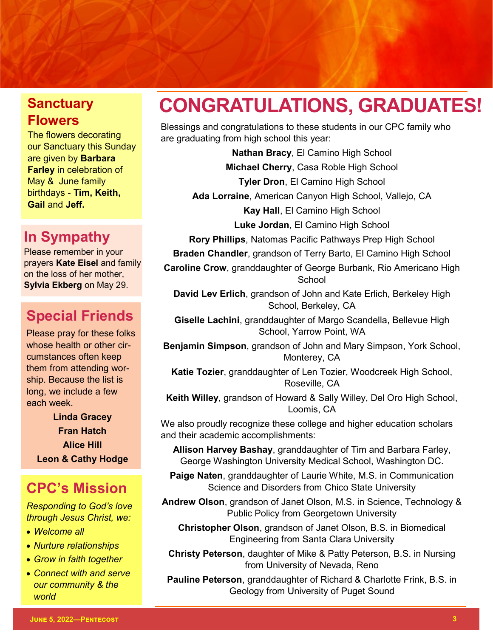## **Flowers**

The flowers decorating our Sanctuary this Sunday are given by **Barbara Farley** in celebration of May & June family birthdays - **Tim, Keith, Gail** and **Jeff.** 

### **In Sympathy**

Please remember in your prayers **Kate Eisel** and family on the loss of her mother, **Sylvia Ekberg** on May 29.

### **Special Friends**

Please pray for these folks whose health or other circumstances often keep them from attending worship. Because the list is long, we include a few each week.

**Linda Gracey Fran Hatch Alice Hill Leon & Cathy Hodge**

### **CPC's Mission**

*Responding to God's love through Jesus Christ, we:*

- *Welcome all*
- *Nurture relationships*
- *Grow in faith together*
- *Connect with and serve our community & the world*

### **Sanctuary CONGRATULATIONS, GRADUATES!**

Blessings and congratulations to these students in our CPC family who are graduating from high school this year:

> **Nathan Bracy**, El Camino High School **Michael Cherry**, Casa Roble High School **Tyler Dron**, El Camino High School

**Ada Lorraine**, American Canyon High School, Vallejo, CA

**Kay Hall**, El Camino High School

**Luke Jordan**, El Camino High School

**Rory Phillips**, Natomas Pacific Pathways Prep High School

**Braden Chandler**, grandson of Terry Barto, El Camino High School

**Caroline Crow**, granddaughter of George Burbank, Rio Americano High School

**David Lev Erlich**, grandson of John and Kate Erlich, Berkeley High School, Berkeley, CA

**Giselle Lachini**, granddaughter of Margo Scandella, Bellevue High School, Yarrow Point, WA

**Benjamin Simpson**, grandson of John and Mary Simpson, York School, Monterey, CA

**Katie Tozier**, granddaughter of Len Tozier, Woodcreek High School, Roseville, CA

**Keith Willey**, grandson of Howard & Sally Willey, Del Oro High School, Loomis, CA

We also proudly recognize these college and higher education scholars and their academic accomplishments:

**Allison Harvey Bashay**, granddaughter of Tim and Barbara Farley, George Washington University Medical School, Washington DC.

**Paige Naten**, granddaughter of Laurie White, M.S. in Communication Science and Disorders from Chico State University

**Andrew Olson**, grandson of Janet Olson, M.S. in Science, Technology & Public Policy from Georgetown University

**Christopher Olson**, grandson of Janet Olson, B.S. in Biomedical Engineering from Santa Clara University

**Christy Peterson**, daughter of Mike & Patty Peterson, B.S. in Nursing from University of Nevada, Reno

**Pauline Peterson**, granddaughter of Richard & Charlotte Frink, B.S. in Geology from University of Puget Sound